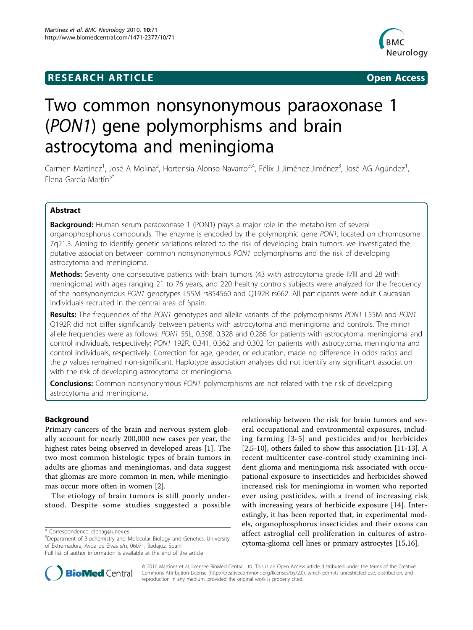## **RESEARCH ARTICLE Example 2014 CONSUMING ACCESS**



# Two common nonsynonymous paraoxonase 1 (PON1) gene polymorphisms and brain astrocytoma and meningioma

Carmen Martínez<sup>1</sup>, José A Molina<sup>2</sup>, Hortensia Alonso-Navarro<sup>3,4</sup>, Félix J Jiménez-Jiménez<sup>3</sup>, José AG Agúndez<sup>1</sup> , Elena García-Martín<sup>5\*</sup>

## Abstract

**Background:** Human serum paraoxonase 1 (PON1) plays a major role in the metabolism of several organophosphorus compounds. The enzyme is encoded by the polymorphic gene PON1, located on chromosome 7q21.3. Aiming to identify genetic variations related to the risk of developing brain tumors, we investigated the putative association between common nonsynonymous PON1 polymorphisms and the risk of developing astrocytoma and meningioma.

Methods: Seventy one consecutive patients with brain tumors (43 with astrocytoma grade II/III and 28 with meningioma) with ages ranging 21 to 76 years, and 220 healthy controls subjects were analyzed for the frequency of the nonsynonymous PON1 genotypes L55M rs854560 and Q192R rs662. All participants were adult Caucasian individuals recruited in the central area of Spain.

Results: The frequencies of the PON1 genotypes and allelic variants of the polymorphisms PON1 L55M and PON1 Q192R did not differ significantly between patients with astrocytoma and meningioma and controls. The minor allele frequencies were as follows: PON1 55L, 0.398, 0.328 and 0.286 for patients with astrocytoma, meningioma and control individuals, respectively; PON1 192R, 0.341, 0.362 and 0.302 for patients with astrocytoma, meningioma and control individuals, respectively. Correction for age, gender, or education, made no difference in odds ratios and the p values remained non-significant. Haplotype association analyses did not identify any significant association with the risk of developing astrocytoma or meningioma.

**Conclusions:** Common nonsynonymous PON1 polymorphisms are not related with the risk of developing astrocytoma and meningioma.

## Background

Primary cancers of the brain and nervous system globally account for nearly 200,000 new cases per year, the highest rates being observed in developed areas [[1\]](#page-4-0). The two most common histologic types of brain tumors in adults are gliomas and meningiomas, and data suggest that gliomas are more common in men, while meningiomas occur more often in women [\[2](#page-4-0)].

The etiology of brain tumors is still poorly understood. Despite some studies suggested a possible

5 Department of Biochemistry and Molecular Biology and Genetics, University of Extremadura, Avda de Elvas s/n, 06071, Badajoz, Spain

relationship between the risk for brain tumors and several occupational and environmental exposures, including farming [[3-5\]](#page-4-0) and pesticides and/or herbicides [[2,5-10](#page-4-0)], others failed to show this association [\[11](#page-4-0)[-13](#page-5-0)]. A recent multicenter case-control study examining incident glioma and meningioma risk associated with occupational exposure to insecticides and herbicides showed increased risk for meningioma in women who reported ever using pesticides, with a trend of increasing risk with increasing years of herbicide exposure [\[14](#page-5-0)]. Interestingly, it has been reported that, in experimental models, organophosphorus insecticides and their oxons can affect astroglial cell proliferation in cultures of astrocytoma-glioma cell lines or primary astrocytes [\[15,16\]](#page-5-0).



© 2010 Martínez et al; licensee BioMed Central Ltd. This is an Open Access article distributed under the terms of the Creative Commons Attribution License [\(http://creativecommons.org/licenses/by/2.0](http://creativecommons.org/licenses/by/2.0)), which permits unrestricted use, distribution, and reproduction in any medium, provided the original work is properly cited.

<sup>\*</sup> Correspondence: [elenag@unex.es](mailto:elenag@unex.es)

Full list of author information is available at the end of the article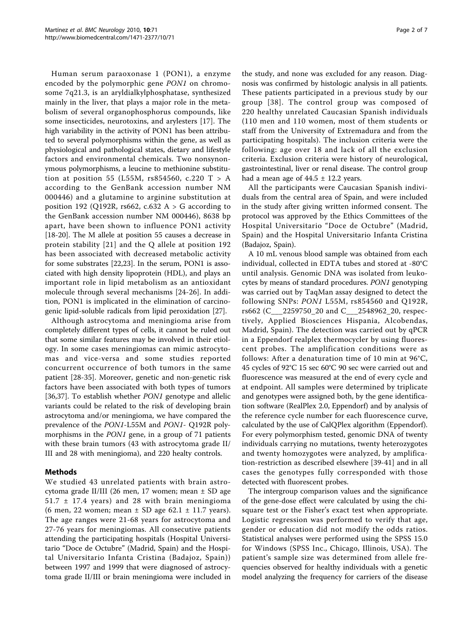Human serum paraoxonase 1 (PON1), a enzyme encoded by the polymorphic gene PON1 on chromosome 7q21.3, is an aryldialkylphosphatase, synthesized mainly in the liver, that plays a major role in the metabolism of several organophosphorus compounds, like some insecticides, neurotoxins, and arylesters [\[17](#page-5-0)]. The high variability in the activity of PON1 has been attributed to several polymorphisms within the gene, as well as physiological and pathological states, dietary and lifestyle factors and environmental chemicals. Two nonsynonymous polymorphisms, a leucine to methionine substitution at position 55 (L55M, rs854560, c.220 T > A according to the GenBank accession number NM 000446) and a glutamine to arginine substitution at position 192 (Q192R, rs662, c.632 A  $>$  G according to the GenBank accession number NM 000446), 8638 bp apart, have been shown to influence PON1 activity [[18-20\]](#page-5-0). The M allele at position 55 causes a decrease in protein stability [[21](#page-5-0)] and the Q allele at position 192 has been associated with decreased metabolic activity for some substrates [[22,23\]](#page-5-0). In the serum, PON1 is associated with high density lipoprotein (HDL), and plays an important role in lipid metabolism as an antioxidant molecule through several mechanisms [\[24](#page-5-0)-[26](#page-5-0)]. In addition, PON1 is implicated in the elimination of carcinogenic lipid-soluble radicals from lipid peroxidation [[27\]](#page-5-0).

Although astrocytoma and meningioma arise from completely different types of cells, it cannot be ruled out that some similar features may be involved in their etiology. In some cases meningiomas can mimic astrocytomas and vice-versa and some studies reported concurrent occurrence of both tumors in the same patient [\[28](#page-5-0)-[35\]](#page-5-0). Moreover, genetic and non-genetic risk factors have been associated with both types of tumors [[36,37\]](#page-5-0). To establish whether *PON1* genotype and allelic variants could be related to the risk of developing brain astrocytoma and/or meningioma, we have compared the prevalence of the PON1-L55M and PON1- Q192R polymorphisms in the PON1 gene, in a group of 71 patients with these brain tumors (43 with astrocytoma grade II/ III and 28 with meningioma), and 220 healty controls.

## Methods

We studied 43 unrelated patients with brain astrocytoma grade II/III (26 men, 17 women; mean ± SD age  $51.7 \pm 17.4$  years) and 28 with brain meningioma (6 men, 22 women; mean  $\pm$  SD age 62.1  $\pm$  11.7 years). The age ranges were 21-68 years for astrocytoma and 27-76 years for meningiomas. All consecutive patients attending the participating hospitals (Hospital Universitario "Doce de Octubre" (Madrid, Spain) and the Hospital Universitario Infanta Cristina (Badajoz, Spain)) between 1997 and 1999 that were diagnosed of astrocytoma grade II/III or brain meningioma were included in

the study, and none was excluded for any reason. Diagnosis was confirmed by histologic analysis in all patients. These patients participated in a previous study by our group [[38](#page-5-0)]. The control group was composed of 220 healthy unrelated Caucasian Spanish individuals (110 men and 110 women, most of them students or staff from the University of Extremadura and from the participating hospitals). The inclusion criteria were the following: age over 18 and lack of all the exclusion criteria. Exclusion criteria were history of neurological, gastrointestinal, liver or renal disease. The control group had a mean age of  $44.5 \pm 12.2$  years.

All the participants were Caucasian Spanish individuals from the central area of Spain, and were included in the study after giving written informed consent. The protocol was approved by the Ethics Committees of the Hospital Universitario "Doce de Octubre" (Madrid, Spain) and the Hospital Universitario Infanta Cristina (Badajoz, Spain).

A 10 mL venous blood sample was obtained from each individual, collected in EDTA tubes and stored at -80°C until analysis. Genomic DNA was isolated from leukocytes by means of standard procedures. PON1 genotyping was carried out by TaqMan assay designed to detect the following SNPs: PON1 L55M, rs854560 and Q192R, rs662 (C\_\_\_2259750\_20 and C\_\_\_2548962\_20, respectively, Applied Biosciences Hispania, Alcobendas, Madrid, Spain). The detection was carried out by qPCR in a Eppendorf realplex thermocycler by using fluorescent probes. The amplification conditions were as follows: After a denaturation time of 10 min at 96°C, 45 cycles of 92°C 15 sec 60°C 90 sec were carried out and fluorescence was measured at the end of every cycle and at endpoint. All samples were determined by triplicate and genotypes were assigned both, by the gene identification software (RealPlex 2.0, Eppendorf) and by analysis of the reference cycle number for each fluorescence curve, calculated by the use of CalQPlex algorithm (Eppendorf). For every polymorphism tested, genomic DNA of twenty individuals carrying no mutations, twenty heterozygotes and twenty homozygotes were analyzed, by amplification-restriction as described elsewhere [\[39](#page-5-0)-[41\]](#page-5-0) and in all cases the genotypes fully corresponded with those detected with fluorescent probes.

The intergroup comparison values and the significance of the gene-dose effect were calculated by using the chisquare test or the Fisher's exact test when appropriate. Logistic regression was performed to verify that age, gender or education did not modify the odds ratios. Statistical analyses were performed using the SPSS 15.0 for Windows (SPSS Inc., Chicago, Illinois, USA). The patient's sample size was determined from allele frequencies observed for healthy individuals with a genetic model analyzing the frequency for carriers of the disease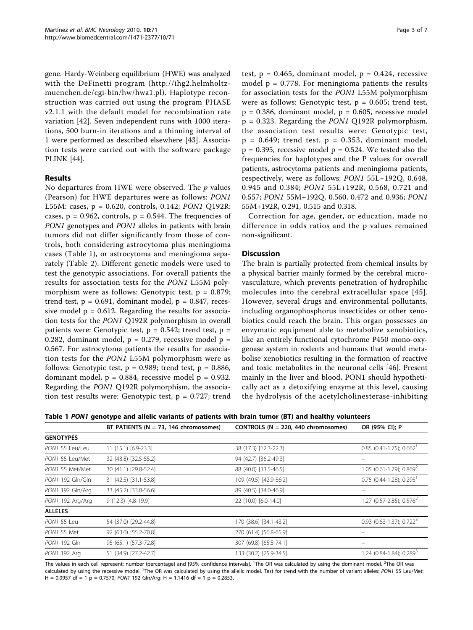gene. Hardy-Weinberg equilibrium (HWE) was analyzed with the DeFinetti program [\(http://ihg2.helmholtz](http://ihg2.helmholtz-muenchen.de/cgi-bin/hw/hwa1.pl)[muenchen.de/cgi-bin/hw/hwa1.pl](http://ihg2.helmholtz-muenchen.de/cgi-bin/hw/hwa1.pl)). Haplotype reconstruction was carried out using the program PHASE v2.1.1 with the default model for recombination rate variation [[42\]](#page-5-0). Seven independent runs with 1000 iterations, 500 burn-in iterations and a thinning interval of 1 were performed as described elsewhere [[43\]](#page-5-0). Association tests were carried out with the software package PLINK [\[44](#page-5-0)].

## Results

No departures from HWE were observed. The  $p$  values (Pearson) for HWE departures were as follows: PON1 L55M: cases, p = 0.620, controls, 0.142; PON1 Q192R: cases,  $p = 0.962$ , controls,  $p = 0.544$ . The frequencies of PON1 genotypes and PON1 alleles in patients with brain tumors did not differ significantly from those of controls, both considering astrocytoma plus meningioma cases (Table 1), or astrocytoma and meningioma separately (Table [2](#page-3-0)). Different genetic models were used to test the genotypic associations. For overall patients the results for association tests for the PON1 L55M polymorphism were as follows: Genotypic test,  $p = 0.879$ ; trend test,  $p = 0.691$ , dominant model,  $p = 0.847$ , recessive model  $p = 0.612$ . Regarding the results for association tests for the PON1 Q192R polymorphism in overall patients were: Genotypic test,  $p = 0.542$ ; trend test,  $p =$ 0.282, dominant model,  $p = 0.279$ , recessive model  $p =$ 0.567. For astrocytoma patients the results for association tests for the PON1 L55M polymorphism were as follows: Genotypic test,  $p = 0.989$ ; trend test,  $p = 0.886$ , dominant model,  $p = 0.884$ , recessive model  $p = 0.932$ . Regarding the PON1 Q192R polymorphism, the association test results were: Genotypic test,  $p = 0.727$ ; trend test,  $p = 0.465$ , dominant model,  $p = 0.424$ , recessive model  $p = 0.778$ . For meningioma patients the results for association tests for the PON1 L55M polymorphism were as follows: Genotypic test,  $p = 0.605$ ; trend test,  $p = 0.386$ , dominant model,  $p = 0.605$ , recessive model  $p = 0.323$ . Regarding the *PON1* Q192R polymorphism, the association test results were: Genotypic test,  $p = 0.649$ ; trend test,  $p = 0.353$ , dominant model,  $p = 0.395$ , recessive model  $p = 0.524$ . We tested also the frequencies for haplotypes and the P values for overall patients, astrocytoma patients and meningioma patients, respectively, were as follows: PON1 55L+192Q, 0.648, 0.945 and 0.384; PON1 55L+192R, 0.568, 0.721 and 0.557; PON1 55M+192Q, 0.560, 0.472 and 0.936; PON1 55M+192R, 0.291, 0.515 and 0.318.

Correction for age, gender, or education, made no difference in odds ratios and the p values remained non-significant.

## **Discussion**

The brain is partially protected from chemical insults by a physical barrier mainly formed by the cerebral microvasculature, which prevents penetration of hydrophilic molecules into the cerebral extracellular space [[45\]](#page-5-0). However, several drugs and environmental pollutants, including organophosphorus insecticides or other xenobiotics could reach the brain. This organ possesses an enzymatic equipment able to metabolize xenobiotics, like an entirely functional cytochrome P450 mono-oxygenase system in rodents and humans that would metabolise xenobiotics resulting in the formation of reactive and toxic metabolites in the neuronal cells [\[46](#page-5-0)]. Present mainly in the liver and blood, PON1 should hypothetically act as a detoxifying enzyme at this level, causing the hydrolysis of the acetylcholinesterase-inhibiting

Table 1 PON1 genotype and allelic variants of patients with brain tumor (BT) and healthy volunteers

|                  | BT PATIENTS ( $N = 73$ , 146 chromosomes) | CONTROLS ( $N = 220$ , 440 chromosomes) | OR (95% CI); P                           |
|------------------|-------------------------------------------|-----------------------------------------|------------------------------------------|
| <b>GENOTYPES</b> |                                           |                                         |                                          |
| PON1 55 Leu/Leu  | 11 (15.1) [6.9-23.3]                      | 38 (17.3) [12.3-22.3]                   | $0.85$ (0.41-1.75); $0.662$ <sup>1</sup> |
| PON1 55 Leu/Met  | 32 (43.8) [32.5-55.2]                     | 94 (42.7) [36.2-49.3]                   |                                          |
| PON1 55 Met/Met  | 30 (41.1) [29.8-52.4]                     | 88 (40.0) [33.5-46.5]                   | $1.05$ (0.61-1.79); 0.869 <sup>2</sup>   |
| PON1 192 Gln/Gln | 31 (42.5) [31.1-53.8]                     | 109 (49.5) [42.9-56.2]                  | $0.75$ (0.44-1.28); 0.295 <sup>1</sup>   |
| PON1 192 Gln/Arg | 33 (45.2) [33.8-56.6]                     | 89 (40.5) [34.0-46.9]                   |                                          |
| PON1 192 Arg/Arg | 9 (12.3) [4.8-19.9]                       | 22 (10.0) [6.0-14.0]                    | 1.27 (0.57-2.85); $0.576^2$              |
| <b>ALLELES</b>   |                                           |                                         |                                          |
| PON1 55 Leu      | 54 (37.0) [29.2-44.8]                     | 170 (38.6) [34.1-43.2]                  | $0.93$ (0.63-1.37); 0.722 <sup>3</sup>   |
| PON1 55 Met      | 92 (63.0) [55.2-70.8]                     | 270 (61.4) [56.8-65.9]                  |                                          |
| PON1 192 Gln     | 95 (65.1) [57.3-72.8]                     | 307 (69.8) [65.5-74.1]                  |                                          |
| PON1 192 Arg     | 51 (34.9) [27.2-42.7]                     | 133 (30.2) [25.9-34.5]                  | 1.24 (0.84-1.84); 0.289 <sup>3</sup>     |

The values in each cell represent: number (percentage) and [95% confidence intervals]. <sup>1</sup>The OR was calculated by using the dominant model. <sup>2</sup>The OR was calculated by using the recessive model. <sup>3</sup>The OR was calculated by using the allelic model. Test for trend with the number of variant alleles: PON1 55 Leu/Met:<br>H = 0.0957 df = 1.p = 0.7570; PON1 193 Glp/Arg; H = 1.1416 d H =  $0.0957$  df = 1 p =  $0.7570$ ; PON1 192 Gln/Arg: H = 1.1416 df = 1 p = 0.2853.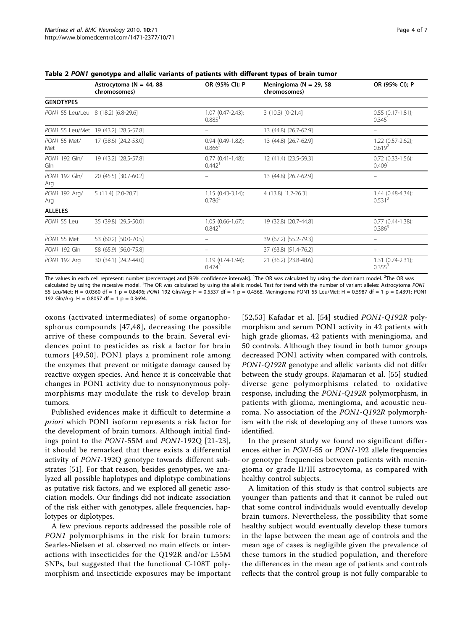|                                     | Astrocytoma ( $N = 44$ , 88<br>chromosomes) | OR (95% CI); P                                   | Meningioma ( $N = 29$ , 58<br>chromosomes) | OR (95% CI); P                              |
|-------------------------------------|---------------------------------------------|--------------------------------------------------|--------------------------------------------|---------------------------------------------|
| <b>GENOTYPES</b>                    |                                             |                                                  |                                            |                                             |
| PON1 55 Leu/Leu 8 (18.2) [6.8-29.6] |                                             | $1.07$ (0.47-2.43);<br>0.885                     | 3 (10.3) [0-21.4]                          | $0.55$ $(0.17 - 1.81)$ ;<br>0.345           |
|                                     | PON1 55 Leu/Met 19 (43.2) [28.5-57.8]       |                                                  | 13 (44.8) [26.7-62.9]                      |                                             |
| PON1 55 Met/<br>Met                 | 17 (38.6) [24.2-53.0]                       | $0.94(0.49-1.82);$<br>$0.866^2$                  | 13 (44.8) [26.7-62.9]                      | $1.22(0.57 - 2.62)$ ;<br>0.619 <sup>2</sup> |
| PON1 192 Gln/<br>Gln                | 19 (43.2) [28.5-57.8]                       | $0.77$ $(0.41 - 1.48)$ ;<br>$0.442$ <sup>1</sup> | 12 (41.4) [23.5-59.3]                      | $0.72$ (0.33-1.56);<br>0.409 <sup>1</sup>   |
| PON1 192 Gln/<br>Arg                | 20 (45.5) [30.7-60.2]                       |                                                  | 13 (44.8) [26.7-62.9]                      |                                             |
| PON1 192 Arg/<br>Arg                | 5 (11.4) [2.0-20.7]                         | $1.15(0.43-3.14);$<br>$0.786^2$                  | 4 (13.8) [1.2-26.3]                        | $1.44(0.48-4.34);$<br>0.531 <sup>2</sup>    |
| <b>ALLELES</b>                      |                                             |                                                  |                                            |                                             |
| PON1 55 Leu                         | 35 (39.8) [29.5-50.0]                       | $1.05(0.66-1.67);$<br>$0.842^{3}$                | 19 (32.8) [20.7-44.8]                      | $0.77$ $(0.44 - 1.38)$ ;<br>$0.386^{3}$     |
| PON1 55 Met                         | 53 (60.2) [50.0-70.5]                       |                                                  | 39 (67.2) [55.2-79.3]                      |                                             |
| PON1 192 Gln                        | 58 (65.9) [56.0-75.8]                       |                                                  | 37 (63.8) [51.4-76.2]                      |                                             |
| PON1 192 Arg                        | 30 (34.1) [24.2-44.0]                       | $1.19(0.74-1.94);$<br>$0.474^{3}$                | 21 (36.2) [23.8-48.6]                      | $1.31$ (0.74-2.31);<br>$0.355^{3}$          |

<span id="page-3-0"></span>Table 2 PON1 genotype and allelic variants of patients with different types of brain tumor

The values in each cell represent: number (percentage) and [95% confidence intervals]. <sup>1</sup>The OR was calculated by using the dominant model. <sup>2</sup>The OR was calculated by using the recessive model. <sup>3</sup>The OR was calculated by using the allelic model. Test for trend with the number of variant alleles: Astrocytoma PON1<br>55 Leu/Met: H – 0.0360 df – 1 p – 0.8496: PON1 192 Glp/Arg: 55 Leu/Met: H = 0.0360 df = 1 p = 0.8496; PON1 192 Gln/Arg: H = 0.5537 df = 1 p = 0.4568. Meningioma PON1 55 Leu/Met: H = 0.5987 df = 1 p = 0.4391; PON1 192 Gln/Arg:  $H = 0.8057$  df = 1 p = 0.3694.

oxons (activated intermediates) of some organophosphorus compounds [[47](#page-5-0),[48](#page-5-0)], decreasing the possible arrive of these compounds to the brain. Several evidences point to pesticides as risk a factor for brain tumors [[49](#page-5-0),[50](#page-5-0)]. PON1 plays a prominent role among the enzymes that prevent or mitigate damage caused by reactive oxygen species. And hence it is conceivable that changes in PON1 activity due to nonsynonymous polymorphisms may modulate the risk to develop brain tumors.

Published evidences make it difficult to determine a priori which PON1 isoform represents a risk factor for the development of brain tumors. Although initial findings point to the PON1-55M and PON1-192Q [[21](#page-5-0)-[23](#page-5-0)], it should be remarked that there exists a differential activity of PON1-192Q genotype towards different substrates [[51\]](#page-5-0). For that reason, besides genotypes, we analyzed all possible haplotypes and diplotype combinations as putative risk factors, and we explored all genetic association models. Our findings did not indicate association of the risk either with genotypes, allele frequencies, haplotypes or diplotypes.

A few previous reports addressed the possible role of PON1 polymorphisms in the risk for brain tumors: Searles-Nielsen et al. observed no main effects or interactions with insecticides for the Q192R and/or L55M SNPs, but suggested that the functional C-108T polymorphism and insecticide exposures may be important

[[52](#page-5-0),[53](#page-5-0)] Kafadar et al. [[54](#page-5-0)] studied PON1-Q192R polymorphism and serum PON1 activity in 42 patients with high grade gliomas, 42 patients with meningioma, and 50 controls. Although they found in both tumor groups decreased PON1 activity when compared with controls, PON1-Q192R genotype and allelic variants did not differ between the study groups. Rajamaran et al. [[55\]](#page-5-0) studied diverse gene polymorphisms related to oxidative response, including the PON1-Q192R polymorphism, in patients with glioma, meningioma, and acoustic neuroma. No association of the PON1-Q192R polymorphism with the risk of developing any of these tumors was identified.

In the present study we found no significant differences either in PON1-55 or PON1-192 allele frequencies or genotype frequencies between patients with meningioma or grade II/III astrocytoma, as compared with healthy control subjects.

A limitation of this study is that control subjects are younger than patients and that it cannot be ruled out that some control individuals would eventually develop brain tumors. Nevertheless, the possibility that some healthy subject would eventually develop these tumors in the lapse between the mean age of controls and the mean age of cases is negligible given the prevalence of these tumors in the studied population, and therefore the differences in the mean age of patients and controls reflects that the control group is not fully comparable to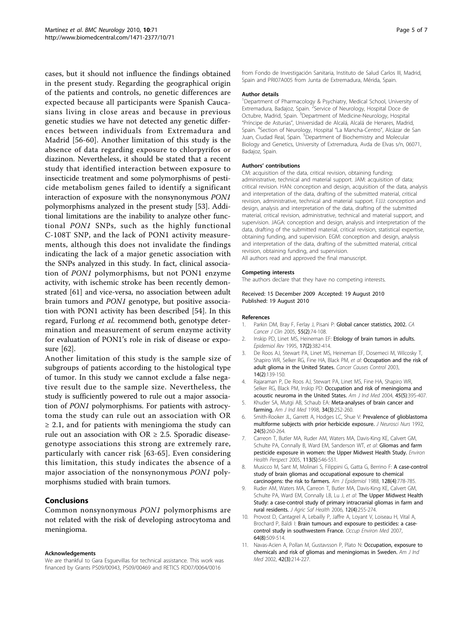<span id="page-4-0"></span>cases, but it should not influence the findings obtained in the present study. Regarding the geographical origin of the patients and controls, no genetic differences are expected because all participants were Spanish Caucasians living in close areas and because in previous genetic studies we have not detected any genetic differences between individuals from Extremadura and Madrid [[56-60](#page-6-0)]. Another limitation of this study is the absence of data regarding exposure to chlorpyrifos or diazinon. Nevertheless, it should be stated that a recent study that identified interaction between exposure to insecticide treatment and some polymorphisms of pesticide metabolism genes failed to identify a significant interaction of exposure with the nonsynonymous PON1 polymorphisms analyzed in the present study [[53\]](#page-5-0). Additional limitations are the inability to analyze other functional PON1 SNPs, such as the highly functional C-108T SNP, and the lack of PON1 activity measurements, although this does not invalidate the findings indicating the lack of a major genetic association with the SNPs analyzed in this study. In fact, clinical association of PON1 polymorphisms, but not PON1 enzyme activity, with ischemic stroke has been recently demonstrated [[61\]](#page-6-0) and vice-versa, no association between adult brain tumors and PON1 genotype, but positive association with PON1 activity has been described [[54\]](#page-5-0). In this regard, Furlong et al. recommend both, genotype determination and measurement of serum enzyme activity for evaluation of PON1's role in risk of disease or exposure [\[62\]](#page-6-0).

Another limitation of this study is the sample size of subgroups of patients according to the histological type of tumor. In this study we cannot exclude a false negative result due to the sample size. Nevertheless, the study is sufficiently powered to rule out a major association of PON1 polymorphisms. For patients with astrocytoma the study can rule out an association with OR  $\geq$  2.1, and for patients with meningioma the study can rule out an association with  $OR \geq 2.5$ . Sporadic diseasegenotype associations this strong are extremely rare, particularly with cancer risk [\[63-65](#page-6-0)]. Even considering this limitation, this study indicates the absence of a major association of the nonsynonymous PON1 polymorphisms studied with brain tumors.

## Conclusions

Common nonsynonymous PON1 polymorphisms are not related with the risk of developing astrocytoma and meningioma.

#### Acknowledgements

We are thankful to Gara Esguevillas for technical assistance. This work was financed by Grants PS09/00943, PS09/00469 and RETICS RD07/0064/0016

from Fondo de Investigación Sanitaria, Instituto de Salud Carlos III, Madrid, Spain and PRI07A005 from Junta de Extremadura, Mérida, Spain.

#### Author details

<sup>1</sup>Department of Pharmacology & Psychiatry, Medical School, University of Extremadura, Badajoz, Spain. <sup>2</sup>Service of Neurology, Hospital Doce de Octubre, Madrid, Spain. <sup>3</sup>Department of Medicine-Neurology, Hospital "Príncipe de Asturias", Universidad de Alcalá, Alcalá de Henares, Madrid, Spain. <sup>4</sup>Section of Neurology, Hospital "La Mancha-Centro", Alcázar de San Juan, Ciudad Real, Spain. <sup>5</sup>Department of Biochemistry and Molecular Biology and Genetics, University of Extremadura, Avda de Elvas s/n, 06071, Badajoz, Spain.

#### Authors' contributions

CM: acquisition of the data, critical revision, obtaining funding; administrative, technical and material support. JAM: acquisition of data; critical revision. HAN: conception and design, acquisition of the data, analysis and interpretation of the data, drafting of the submitted material, critical revision, administrative, technical and material support. FJJJ: conception and design, analysis and interpretation of the data, drafting of the submitted material, critical revision, administrative, technical and material support, and supervision. JAGA: conception and design, analysis and interpretation of the data, drafting of the submitted material, critical revision, statistical expertise, obtaining funding, and supervision. EGM: conception and design, analysis and interpretation of the data, drafting of the submitted material, critical revision, obtaining funding, and supervision.

All authors read and approved the final manuscript.

#### Competing interests

The authors declare that they have no competing interests.

Received: 15 December 2009 Accepted: 19 August 2010 Published: 19 August 2010

#### References

- 1. Parkin DM, Bray F, Ferlay J, Pisani P: [Global cancer statistics, 2002.](http://www.ncbi.nlm.nih.gov/pubmed/15761078?dopt=Abstract) CA Cancer J Clin 2005, 55(2):74-108.
- 2. Inskip PD, Linet MS, Heineman EF: [Etiology of brain tumors in adults.](http://www.ncbi.nlm.nih.gov/pubmed/8654518?dopt=Abstract) Epidemiol Rev 1995, 17(2):382-414.
- 3. De Roos AJ, Stewart PA, Linet MS, Heineman EF, Dosemeci M, Wilcosky T, Shapiro WR, Selker RG, Fine HA, Black PM, et al: [Occupation and the risk of](http://www.ncbi.nlm.nih.gov/pubmed/12749719?dopt=Abstract) [adult glioma in the United States.](http://www.ncbi.nlm.nih.gov/pubmed/12749719?dopt=Abstract) Cancer Causes Control 2003, 14(2):139-150.
- Rajaraman P, De Roos AJ, Stewart PA, Linet MS, Fine HA, Shapiro WR, Selker RG, Black PM, Inskip PD: [Occupation and risk of meningioma and](http://www.ncbi.nlm.nih.gov/pubmed/15095422?dopt=Abstract) [acoustic neuroma in the United States.](http://www.ncbi.nlm.nih.gov/pubmed/15095422?dopt=Abstract) Am J Ind Med 2004, 45(5):395-407.
- 5. Khuder SA, Mutgi AB, Schaub EA: [Meta-analyses of brain cancer and](http://www.ncbi.nlm.nih.gov/pubmed/9698994?dopt=Abstract) [farming.](http://www.ncbi.nlm.nih.gov/pubmed/9698994?dopt=Abstract) Am J Ind Med 1998, 34(3):252-260.
- 6. Smith-Rooker JL, Garrett A, Hodges LC, Shue V: [Prevalence of glioblastoma](http://www.ncbi.nlm.nih.gov/pubmed/1328422?dopt=Abstract) [multiforme subjects with prior herbicide exposure.](http://www.ncbi.nlm.nih.gov/pubmed/1328422?dopt=Abstract) J Neurosci Nurs 1992, 24(5):260-264.
- 7. Carreon T, Butler MA, Ruder AM, Waters MA, Davis-King KE, Calvert GM, Schulte PA, Connally B, Ward EM, Sanderson WT, et al: [Gliomas and farm](http://www.ncbi.nlm.nih.gov/pubmed/15866761?dopt=Abstract) [pesticide exposure in women: the Upper Midwest Health Study.](http://www.ncbi.nlm.nih.gov/pubmed/15866761?dopt=Abstract) Environ Health Perspect 2005, 113(5):546-551.
- 8. Musicco M, Sant M, Molinari S, Filippini G, Gatta G, Berrino F: [A case-control](http://www.ncbi.nlm.nih.gov/pubmed/3421243?dopt=Abstract) [study of brain gliomas and occupational exposure to chemical](http://www.ncbi.nlm.nih.gov/pubmed/3421243?dopt=Abstract) [carcinogens: the risk to farmers.](http://www.ncbi.nlm.nih.gov/pubmed/3421243?dopt=Abstract) Am J Epidemiol 1988, 128(4):778-785.
- 9. Ruder AM, Waters MA, Carreon T, Butler MA, Davis-King KE, Calvert GM, Schulte PA, Ward EM, Connally LB, Lu J, et al: [The Upper Midwest Health](http://www.ncbi.nlm.nih.gov/pubmed/17131948?dopt=Abstract) [Study: a case-control study of primary intracranial gliomas in farm and](http://www.ncbi.nlm.nih.gov/pubmed/17131948?dopt=Abstract) [rural residents.](http://www.ncbi.nlm.nih.gov/pubmed/17131948?dopt=Abstract) J Agric Saf Health 2006, 12(4):255-274.
- 10. Provost D, Cantagrel A, Lebailly P, Jaffre A, Loyant V, Loiseau H, Vital A, Brochard P, Baldi I: [Brain tumours and exposure to pesticides: a case](http://www.ncbi.nlm.nih.gov/pubmed/17537748?dopt=Abstract)[control study in southwestern France.](http://www.ncbi.nlm.nih.gov/pubmed/17537748?dopt=Abstract) Occup Environ Med 2007, 64(8):509-514.
- 11. Navas-Acien A, Pollan M, Gustavsson P, Plato N: [Occupation, exposure to](http://www.ncbi.nlm.nih.gov/pubmed/12210690?dopt=Abstract) [chemicals and risk of gliomas and meningiomas in Sweden.](http://www.ncbi.nlm.nih.gov/pubmed/12210690?dopt=Abstract) Am J Ind Med 2002, 42(3):214-227.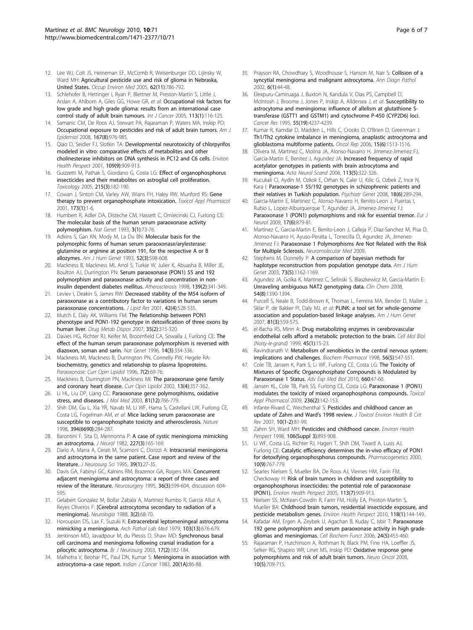- <span id="page-5-0"></span>12. Lee WJ, Colt JS, Heineman EF, McComb R, Weisenburger DD, Lijinsky W, Ward MH: [Agricultural pesticide use and risk of glioma in Nebraska,](http://www.ncbi.nlm.nih.gov/pubmed/16234405?dopt=Abstract) [United States.](http://www.ncbi.nlm.nih.gov/pubmed/16234405?dopt=Abstract) Occup Environ Med 2005, 62(11):786-792.
- 13. Schlehofer B, Hettinger I, Ryan P, Blettner M, Preston-Martin S, Little J, Arslan A, Ahlbom A, Giles GG, Howe GR, et al: [Occupational risk factors for](http://www.ncbi.nlm.nih.gov/pubmed/15386358?dopt=Abstract) [low grade and high grade glioma: results from an international case](http://www.ncbi.nlm.nih.gov/pubmed/15386358?dopt=Abstract) [control study of adult brain tumours.](http://www.ncbi.nlm.nih.gov/pubmed/15386358?dopt=Abstract) Int J Cancer 2005, 113(1):116-125.
- 14. Samanic CM, De Roos AJ, Stewart PA, Rajaraman P, Waters MA, Inskip PD: [Occupational exposure to pesticides and risk of adult brain tumors.](http://www.ncbi.nlm.nih.gov/pubmed/18299277?dopt=Abstract) Am J Epidemiol 2008, 167(8):976-985.
- 15. Qiao D, Seidler FJ, Slotkin TA: [Developmental neurotoxicity of chlorpyrifos](http://www.ncbi.nlm.nih.gov/pubmed/11673119?dopt=Abstract) [modeled in vitro: comparative effects of metabolites and other](http://www.ncbi.nlm.nih.gov/pubmed/11673119?dopt=Abstract) [cholinesterase inhibitors on DNA synthesis in PC12 and C6 cells.](http://www.ncbi.nlm.nih.gov/pubmed/11673119?dopt=Abstract) Environ Health Perspect 2001, 109(9):909-913.
- 16. Guizzetti M, Pathak S, Giordano G, Costa LG: [Effect of organophosphorus](http://www.ncbi.nlm.nih.gov/pubmed/16102884?dopt=Abstract) [insecticides and their metabolites on astroglial cell proliferation.](http://www.ncbi.nlm.nih.gov/pubmed/16102884?dopt=Abstract) Toxicology 2005, 215(3):182-190.
- 17. Cowan J, Sinton CM, Varley AW, Wians FH, Haley RW, Munford RS: [Gene](http://www.ncbi.nlm.nih.gov/pubmed/11350209?dopt=Abstract) [therapy to prevent organophosphate intoxication.](http://www.ncbi.nlm.nih.gov/pubmed/11350209?dopt=Abstract) Toxicol Appl Pharmacol 2001, 173(1):1-6.
- 18. Humbert R, Adler DA, Disteche CM, Hassett C, Omiecinski CJ, Furlong CE: [The molecular basis of the human serum paraoxonase activity](http://www.ncbi.nlm.nih.gov/pubmed/8098250?dopt=Abstract) [polymorphism.](http://www.ncbi.nlm.nih.gov/pubmed/8098250?dopt=Abstract) Nat Genet 1993, 3(1):73-76.
- 19. Adkins S, Gan KN, Mody M, La Du BN: [Molecular basis for the](http://www.ncbi.nlm.nih.gov/pubmed/7916578?dopt=Abstract) [polymorphic forms of human serum paraoxonase/arylesterase:](http://www.ncbi.nlm.nih.gov/pubmed/7916578?dopt=Abstract) [glutamine or arginine at position 191, for the respective A or B](http://www.ncbi.nlm.nih.gov/pubmed/7916578?dopt=Abstract) [allozymes.](http://www.ncbi.nlm.nih.gov/pubmed/7916578?dopt=Abstract) Am J Hum Genet 1993, 52(3):598-608.
- 20. Mackness B, Mackness MI, Arrol S, Turkie W, Julier K, Abuasha B, Miller JE, Boulton AJ, Durrington PN: [Serum paraoxonase \(PON1\) 55 and 192](http://www.ncbi.nlm.nih.gov/pubmed/9712341?dopt=Abstract) [polymorphism and paraoxonase activity and concentration in non](http://www.ncbi.nlm.nih.gov/pubmed/9712341?dopt=Abstract)[insulin dependent diabetes mellitus.](http://www.ncbi.nlm.nih.gov/pubmed/9712341?dopt=Abstract) Atherosclerosis 1998, 139(2):341-349.
- 21. Leviev I, Deakin S, James RW: [Decreased stability of the M54 isoform of](http://www.ncbi.nlm.nih.gov/pubmed/11290824?dopt=Abstract) [paraoxonase as a contributory factor to variations in human serum](http://www.ncbi.nlm.nih.gov/pubmed/11290824?dopt=Abstract) [paraoxonase concentrations.](http://www.ncbi.nlm.nih.gov/pubmed/11290824?dopt=Abstract) J Lipid Res 2001, 42(4):528-535.
- 22. Mutch E, Daly AK, Williams FM: [The Relationship between PON1](http://www.ncbi.nlm.nih.gov/pubmed/17132760?dopt=Abstract) [phenotype and PON1-192 genotype in detoxification of three oxons by](http://www.ncbi.nlm.nih.gov/pubmed/17132760?dopt=Abstract) [human liver.](http://www.ncbi.nlm.nih.gov/pubmed/17132760?dopt=Abstract) Drug Metab Dispos 2007, 35(2):315-320.
- 23. Davies HG, Richter RJ, Keifer M, Broomfield CA, Sowalla J, Furlong CE: [The](http://www.ncbi.nlm.nih.gov/pubmed/8896566?dopt=Abstract) [effect of the human serum paraoxonase polymorphism is reversed with](http://www.ncbi.nlm.nih.gov/pubmed/8896566?dopt=Abstract) [diazoxon, soman and sarin.](http://www.ncbi.nlm.nih.gov/pubmed/8896566?dopt=Abstract) Nat Genet 1996, 14(3):334-336.
- 24. Mackness MI, Mackness B, Durrington PN, Connelly PW, Hegele RA: biochemistry, genetics and relationship to plasma lipoproteins. Paraoxonase: Curr Opin Lipidol 1996, 7(2):69-76.
- 25. Mackness B, Durrington PN, Mackness MI: [The paraoxonase gene family](http://www.ncbi.nlm.nih.gov/pubmed/12151850?dopt=Abstract) [and coronary heart disease.](http://www.ncbi.nlm.nih.gov/pubmed/12151850?dopt=Abstract) Curr Opin Lipidol 2002, 13(4):357-362.
- 26. Li HL, Liu DP, Liang CC: [Paraoxonase gene polymorphisms, oxidative](http://www.ncbi.nlm.nih.gov/pubmed/14551701?dopt=Abstract) [stress, and diseases.](http://www.ncbi.nlm.nih.gov/pubmed/14551701?dopt=Abstract) J Mol Med 2003, 81(12):766-779.
- 27. Shih DM, Gu L, Xia YR, Navab M, Li WF, Hama S, Castellani LW, Furlong CE, Costa LG, Fogelman AM, et al: [Mice lacking serum paraoxonase are](http://www.ncbi.nlm.nih.gov/pubmed/9685159?dopt=Abstract) [susceptible to organophosphate toxicity and atherosclerosis.](http://www.ncbi.nlm.nih.gov/pubmed/9685159?dopt=Abstract) Nature 1998, 394(6690):284-287.
- 28. Barontini F, Sita D, Mennonna P: [A case of cystic meningioma mimicking](http://www.ncbi.nlm.nih.gov/pubmed/6181224?dopt=Abstract) [an astrocytoma.](http://www.ncbi.nlm.nih.gov/pubmed/6181224?dopt=Abstract) J Neurol 1982, 227(3):165-169.
- 29. Dario A, Marra A, Cerati M, Scamoni C, Dorizzi A: [Intracranial meningioma](http://www.ncbi.nlm.nih.gov/pubmed/8568553?dopt=Abstract) [and astrocytoma in the same patient. Case report and review of the](http://www.ncbi.nlm.nih.gov/pubmed/8568553?dopt=Abstract) [literature.](http://www.ncbi.nlm.nih.gov/pubmed/8568553?dopt=Abstract) J Neurosurg Sci 1995, 39(1):27-35.
- 30. Davis GA, Fabinyi GC, Kalnins RM, Brazenor GA, Rogers MA: [Concurrent](http://www.ncbi.nlm.nih.gov/pubmed/7753363?dopt=Abstract) [adjacent meningioma and astrocytoma: a report of three cases and](http://www.ncbi.nlm.nih.gov/pubmed/7753363?dopt=Abstract) [review of the literature.](http://www.ncbi.nlm.nih.gov/pubmed/7753363?dopt=Abstract) Neurosurgery 1995, 36(3):599-604, discussion 604- 595.
- 31. Gelabert Gonzalez M, Bollar Zabala A, Martinez Rumbo R, Garcia Allut A, Reyes Oliveros F: [\[Cerebral astrocytoma secondary to radiation of a](http://www.ncbi.nlm.nih.gov/pubmed/2856211?dopt=Abstract) [meningioma\].](http://www.ncbi.nlm.nih.gov/pubmed/2856211?dopt=Abstract) Neurologia 1988, 3(2):68-70.
- 32. Horoupian DS, Lax F, Suzuki K: [Extracerebral leptomeningeal astrocytoma](http://www.ncbi.nlm.nih.gov/pubmed/583126?dopt=Abstract) [mimicking a meningioma.](http://www.ncbi.nlm.nih.gov/pubmed/583126?dopt=Abstract) Arch Pathol Lab Med 1979, 103(13):676-679.
- 33. Jenkinson MD, Javadpour M, du Plessis D, Shaw MD: [Synchronous basal](http://www.ncbi.nlm.nih.gov/pubmed/12820764?dopt=Abstract) [cell carcinoma and meningioma following cranial irradiation for a](http://www.ncbi.nlm.nih.gov/pubmed/12820764?dopt=Abstract) [pilocytic astrocytoma.](http://www.ncbi.nlm.nih.gov/pubmed/12820764?dopt=Abstract) Br J Neurosurg 2003, 17(2):182-184.
- 34. Malhotra V, Beohar PC, Paul DN, Kumar S: [Meningioma in association with](http://www.ncbi.nlm.nih.gov/pubmed/6873998?dopt=Abstract) astrocytoma-[a case report.](http://www.ncbi.nlm.nih.gov/pubmed/6873998?dopt=Abstract) Indian J Cancer 1983, 20(1A):86-88.
- 35. Prayson RA, Chowdhary S, Woodhouse S, Hanson M, Nair S: [Collision of a](http://www.ncbi.nlm.nih.gov/pubmed/11842378?dopt=Abstract) [syncytial meningioma and malignant astrocytoma.](http://www.ncbi.nlm.nih.gov/pubmed/11842378?dopt=Abstract) Ann Diagn Pathol 2002, 6(1):44-48.
- 36. Elexpuru-Camiruaga J, Buxton N, Kandula V, Dias PS, Campbell D, McIntosh J, Broome J, Jones P, Inskip A, Alldersea J, et al: [Susceptibility to](http://www.ncbi.nlm.nih.gov/pubmed/7671227?dopt=Abstract) [astrocytoma and meningioma: influence of allelism at glutathione S](http://www.ncbi.nlm.nih.gov/pubmed/7671227?dopt=Abstract)[transferase \(GSTT1 and GSTM1\) and cytochrome P-450 \(CYP2D6\) loci.](http://www.ncbi.nlm.nih.gov/pubmed/7671227?dopt=Abstract) Cancer Res 1995, 55(19):4237-4239.
- 37. Kumar R, Kamdar D, Madden L, Hills C, Crooks D, O'Brien D, Greenman J: [Th1/Th2 cytokine imbalance in meningioma, anaplastic astrocytoma and](http://www.ncbi.nlm.nih.gov/pubmed/16685388?dopt=Abstract) [glioblastoma multiforme patients.](http://www.ncbi.nlm.nih.gov/pubmed/16685388?dopt=Abstract) Oncol Rep 2006, 15(6):1513-1516.
- 38. Olivera M, Martinez C, Molina JA, Alonso-Navarro H, Jimenez-Jimenez FJ, Garcia-Martin E, Benitez J, Agundez JA: [Increased frequency of rapid](http://www.ncbi.nlm.nih.gov/pubmed/16629768?dopt=Abstract) [acetylator genotypes in patients with brain astrocytoma and](http://www.ncbi.nlm.nih.gov/pubmed/16629768?dopt=Abstract) [meningioma.](http://www.ncbi.nlm.nih.gov/pubmed/16629768?dopt=Abstract) Acta Neurol Scand 2006, 113(5):322-326.
- Kucukali CI, Aydin M, Ozkok E, Orhan N, Cakir U, Kilic G, Ozbek Z, Ince N, Kara I: [Paraoxonase-1 55/192 genotypes in schizophrenic patients and](http://www.ncbi.nlm.nih.gov/pubmed/19018234?dopt=Abstract) [their relatives in Turkish population.](http://www.ncbi.nlm.nih.gov/pubmed/19018234?dopt=Abstract) Psychiatr Genet 2008, 18(6):289-294.
- 40. Garcia-Martin E, Martinez C, Alonso-Navarro H, Benito-Leon J, Puertas I, Rubio L, Lopez-Alburquerque T, Agundez JA, Jimenez-Jimenez FJ: [Paraoxonase 1 \(PON1\) polymorphisms and risk for essential tremor.](http://www.ncbi.nlm.nih.gov/pubmed/20050883?dopt=Abstract) Eur J Neurol 2009, 17(6):879-81.
- 41. Martinez C, Garcia-Martin E, Benito-Leon J, Calleja P, Diaz-Sanchez M, Pisa D, Alonso-Navarro H, Ayuso-Peralta L, Torrecilla D, Agundez JA, Jimenez-Jimenez FJ: [Paraoxonase 1 Polymorphisms Are Not Related with the Risk](http://www.ncbi.nlm.nih.gov/pubmed/19826962?dopt=Abstract) [for Multiple Sclerosis.](http://www.ncbi.nlm.nih.gov/pubmed/19826962?dopt=Abstract) Neuromolecular Med 2009.
- 42. Stephens M, Donnelly P: [A comparison of bayesian methods for](http://www.ncbi.nlm.nih.gov/pubmed/14574645?dopt=Abstract) [haplotype reconstruction from population genotype data.](http://www.ncbi.nlm.nih.gov/pubmed/14574645?dopt=Abstract) Am J Hum Genet 2003, 73(5):1162-1169.
- 43. Agundez JA, Golka K, Martinez C, Selinski S, Blaszkewicz M, Garcia-Martin E: [Unraveling ambiguous NAT2 genotyping data.](http://www.ncbi.nlm.nih.gov/pubmed/18664443?dopt=Abstract) Clin Chem 2008, 54(8):1390-1394.
- 44. Purcell S, Neale B, Todd-Brown K, Thomas L, Ferreira MA, Bender D, Maller J, Sklar P, de Bakker PI, Daly MJ, et al: [PLINK: a tool set for whole-genome](http://www.ncbi.nlm.nih.gov/pubmed/17701901?dopt=Abstract) [association and population-based linkage analyses.](http://www.ncbi.nlm.nih.gov/pubmed/17701901?dopt=Abstract) Am J Hum Genet 2007, 81(3):559-575.
- 45. el-Bacha RS, Minn A: [Drug metabolizing enzymes in cerebrovascular](http://www.ncbi.nlm.nih.gov/pubmed/10099836?dopt=Abstract) [endothelial cells afford a metabolic protection to the brain.](http://www.ncbi.nlm.nih.gov/pubmed/10099836?dopt=Abstract) Cell Mol Biol (Noisy-le-grand) 1999, 45(1):15-23.
- 46. Ravindranath V: [Metabolism of xenobiotics in the central nervous system:](http://www.ncbi.nlm.nih.gov/pubmed/9783722?dopt=Abstract) [implications and challenges.](http://www.ncbi.nlm.nih.gov/pubmed/9783722?dopt=Abstract) Biochem Pharmacol 1998, 56(5):547-551.
- 47. Cole TB, Jansen K, Park S, Li WF, Furlong CE, Costa LG: [The Toxicity of](http://www.ncbi.nlm.nih.gov/pubmed/20221870?dopt=Abstract) [Mixtures of Specific Organophosphate Compounds is Modulated by](http://www.ncbi.nlm.nih.gov/pubmed/20221870?dopt=Abstract) [Paraoxonase 1 Status.](http://www.ncbi.nlm.nih.gov/pubmed/20221870?dopt=Abstract) Adv Exp Med Biol 2010, 660:47-60.
- 48. Jansen KL, Cole TB, Park SS, Furlong CE, Costa LG: [Paraoxonase 1 \(PON1\)](http://www.ncbi.nlm.nih.gov/pubmed/19371602?dopt=Abstract) [modulates the toxicity of mixed organophosphorus compounds.](http://www.ncbi.nlm.nih.gov/pubmed/19371602?dopt=Abstract) Toxicol Appl Pharmacol 2009, 236(2):142-153.
- 49. Infante-Rivard C, Weichenthal S: [Pesticides and childhood cancer an](http://www.ncbi.nlm.nih.gov/pubmed/18074305?dopt=Abstract) [update of Zahm and Ward](http://www.ncbi.nlm.nih.gov/pubmed/18074305?dopt=Abstract)'s 1998 review. J Toxicol Environ Health B Crit Rev 2007, 10(1-2):81-99.
- 50. Zahm SH, Ward MH: [Pesticides and childhood cancer.](http://www.ncbi.nlm.nih.gov/pubmed/9646054?dopt=Abstract) Environ Health Perspect 1998, 106(Suppl 3):893-908.
- 51. Li WF, Costa LG, Richter RJ, Hagen T, Shih DM, Tward A, Lusis AJ, Furlong CE: [Catalytic efficiency determines the in-vivo efficacy of PON1](http://www.ncbi.nlm.nih.gov/pubmed/11191881?dopt=Abstract) [for detoxifying organophosphorus compounds.](http://www.ncbi.nlm.nih.gov/pubmed/11191881?dopt=Abstract) Pharmacogenetics 2000, 10(9):767-779.
- 52. Searles Nielsen S, Mueller BA, De Roos AJ, Viernes HM, Farin FM, Checkoway H: [Risk of brain tumors in children and susceptibility to](http://www.ncbi.nlm.nih.gov/pubmed/16002382?dopt=Abstract) [organophosphorus insecticides: the potential role of paraoxonase](http://www.ncbi.nlm.nih.gov/pubmed/16002382?dopt=Abstract) [\(PON1\).](http://www.ncbi.nlm.nih.gov/pubmed/16002382?dopt=Abstract) Environ Health Perspect 2005, 113(7):909-913.
- 53. Nielsen SS, McKean-Cowdin R, Farin FM, Holly EA, Preston-Martin S, Mueller BA: [Childhood brain tumors, residential insecticide exposure, and](http://www.ncbi.nlm.nih.gov/pubmed/20056567?dopt=Abstract) [pesticide metabolism genes.](http://www.ncbi.nlm.nih.gov/pubmed/20056567?dopt=Abstract) Environ Health Perspect 2010, 118(1):144-149.
- 54. Kafadar AM, Ergen A, Zeybek U, Agachan B, Kuday C, Isbir T: [Paraoxonase](http://www.ncbi.nlm.nih.gov/pubmed/16142697?dopt=Abstract) [192 gene polymorphism and serum paraoxonase activity in high grade](http://www.ncbi.nlm.nih.gov/pubmed/16142697?dopt=Abstract) [gliomas and meningiomas.](http://www.ncbi.nlm.nih.gov/pubmed/16142697?dopt=Abstract) Cell Biochem Funct 2006, 24(5):455-460.
- 55. Rajaraman P, Hutchinson A, Rothman N, Black PM, Fine HA, Loeffler JS, Selker RG, Shapiro WR, Linet MS, Inskip PD: [Oxidative response gene](http://www.ncbi.nlm.nih.gov/pubmed/18682580?dopt=Abstract) [polymorphisms and risk of adult brain tumors.](http://www.ncbi.nlm.nih.gov/pubmed/18682580?dopt=Abstract) Neuro Oncol 2008, 10(5):709-715.